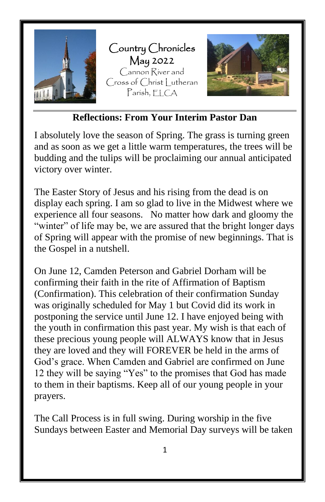

**Reflections: From Your Interim Pastor Dan**

I absolutely love the season of Spring. The grass is turning green and as soon as we get a little warm temperatures, the trees will be budding and the tulips will be proclaiming our annual anticipated victory over winter.

The Easter Story of Jesus and his rising from the dead is on display each spring. I am so glad to live in the Midwest where we experience all four seasons. No matter how dark and gloomy the "winter" of life may be, we are assured that the bright longer days of Spring will appear with the promise of new beginnings. That is the Gospel in a nutshell.

On June 12, Camden Peterson and Gabriel Dorham will be confirming their faith in the rite of Affirmation of Baptism (Confirmation). This celebration of their confirmation Sunday was originally scheduled for May 1 but Covid did its work in postponing the service until June 12. I have enjoyed being with the youth in confirmation this past year. My wish is that each of these precious young people will ALWAYS know that in Jesus they are loved and they will FOREVER be held in the arms of God's grace. When Camden and Gabriel are confirmed on June 12 they will be saying "Yes" to the promises that God has made to them in their baptisms. Keep all of our young people in your prayers.

The Call Process is in full swing. During worship in the five Sundays between Easter and Memorial Day surveys will be taken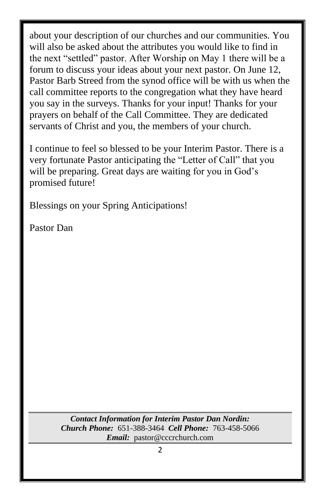about your description of our churches and our communities. You will also be asked about the attributes you would like to find in the next "settled" pastor. After Worship on May 1 there will be a forum to discuss your ideas about your next pastor. On June 12, Pastor Barb Streed from the synod office will be with us when the call committee reports to the congregation what they have heard you say in the surveys. Thanks for your input! Thanks for your prayers on behalf of the Call Committee. They are dedicated servants of Christ and you, the members of your church.

I continue to feel so blessed to be your Interim Pastor. There is a very fortunate Pastor anticipating the "Letter of Call" that you will be preparing. Great days are waiting for you in God's promised future!

Blessings on your Spring Anticipations!

Pastor Dan

*Contact Information for Interim Pastor Dan Nordin: Church Phone:* 651-388-3464 *Cell Phone:* 763-458-5066 *Email:* pastor@cccrchurch.com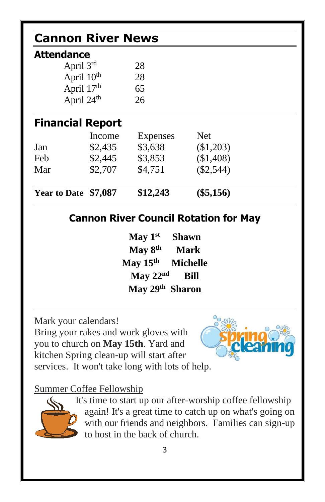| <b>Cannon River News</b>                     |         |                             |              |  |  |  |  |
|----------------------------------------------|---------|-----------------------------|--------------|--|--|--|--|
| <b>Attendance</b>                            |         |                             |              |  |  |  |  |
| April $3rd$                                  |         | 28                          |              |  |  |  |  |
| April $10th$                                 |         | 28                          |              |  |  |  |  |
| April 17th                                   |         | 65                          |              |  |  |  |  |
| April 24 <sup>th</sup>                       |         | 26                          |              |  |  |  |  |
| <b>Financial Report</b>                      |         |                             |              |  |  |  |  |
|                                              | Income  | Expenses                    | <b>Net</b>   |  |  |  |  |
| Jan                                          | \$2,435 | \$3,638                     | (\$1,203)    |  |  |  |  |
| Feb                                          | \$2,445 | \$3,853                     | (\$1,408)    |  |  |  |  |
| Mar                                          | \$2,707 | \$4,751                     | $(\$2,544)$  |  |  |  |  |
| Year to Date \$7,087                         |         | \$12,243                    | $(\$5,156)$  |  |  |  |  |
| <b>Cannon River Council Rotation for May</b> |         |                             |              |  |  |  |  |
|                                              |         | $\text{May } 1^{\text{st}}$ | <b>Shawn</b> |  |  |  |  |
| May $8th$<br><b>Mark</b>                     |         |                             |              |  |  |  |  |
| May $15th$<br><b>Michelle</b>                |         |                             |              |  |  |  |  |
| May $22nd$<br><b>Bill</b>                    |         |                             |              |  |  |  |  |
| May 29 <sup>th</sup> Sharon                  |         |                             |              |  |  |  |  |

Mark your calendars!

Bring your rakes and work gloves with you to church on **May 15th**. Yard and kitchen Spring clean-up will start after services. It won't take long with lots of help.



### Summer Coffee Fellowship



It's time to start up our after-worship coffee fellowship again! It's a great time to catch up on what's going on with our friends and neighbors. Families can sign-up to host in the back of church.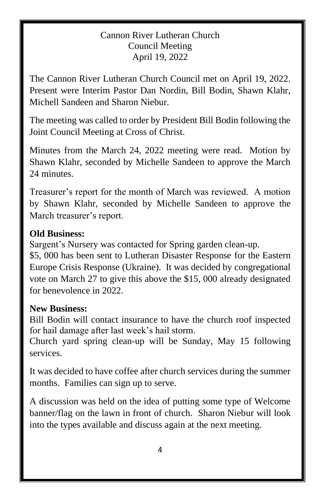#### Cannon River Lutheran Church Council Meeting April 19, 2022

The Cannon River Lutheran Church Council met on April 19, 2022. Present were Interim Pastor Dan Nordin, Bill Bodin, Shawn Klahr, Michell Sandeen and Sharon Niebur.

The meeting was called to order by President Bill Bodin following the Joint Council Meeting at Cross of Christ.

Minutes from the March 24, 2022 meeting were read. Motion by Shawn Klahr, seconded by Michelle Sandeen to approve the March 24 minutes.

Treasurer's report for the month of March was reviewed. A motion by Shawn Klahr, seconded by Michelle Sandeen to approve the March treasurer's report.

#### **Old Business:**

Sargent's Nursery was contacted for Spring garden clean-up.

\$5, 000 has been sent to Lutheran Disaster Response for the Eastern Europe Crisis Response (Ukraine). It was decided by congregational vote on March 27 to give this above the \$15, 000 already designated for benevolence in 2022.

#### **New Business:**

Bill Bodin will contact insurance to have the church roof inspected for hail damage after last week's hail storm.

Church yard spring clean-up will be Sunday, May 15 following services.

It was decided to have coffee after church services during the summer months. Families can sign up to serve.

A discussion was held on the idea of putting some type of Welcome banner/flag on the lawn in front of church. Sharon Niebur will look into the types available and discuss again at the next meeting.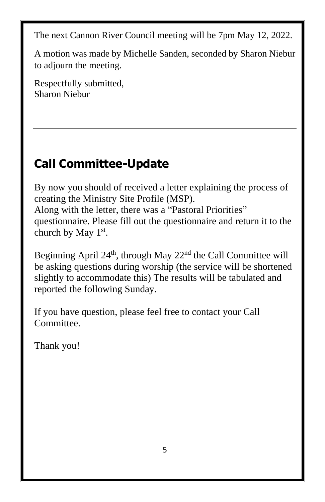The next Cannon River Council meeting will be 7pm May 12, 2022.

A motion was made by Michelle Sanden, seconded by Sharon Niebur to adjourn the meeting.

Respectfully submitted, Sharon Niebur

# **Call Committee-Update**

By now you should of received a letter explaining the process of creating the Ministry Site Profile (MSP). Along with the letter, there was a "Pastoral Priorities" questionnaire. Please fill out the questionnaire and return it to the church by May  $1<sup>st</sup>$ .

Beginning April  $24<sup>th</sup>$ , through May  $22<sup>nd</sup>$  the Call Committee will be asking questions during worship (the service will be shortened slightly to accommodate this) The results will be tabulated and reported the following Sunday.

If you have question, please feel free to contact your Call Committee.

Thank you!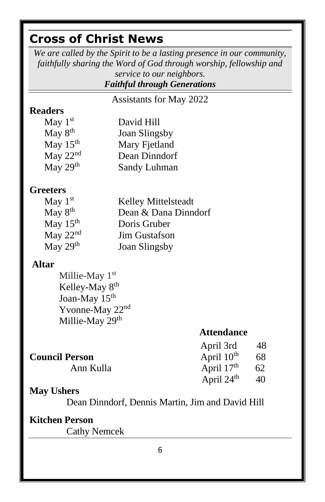# **Cross of Christ News**

*We are called by the Spirit to be a lasting presence in our community, faithfully sharing the Word of God through worship, fellowship and service to our neighbors.*

### *Faithful through Generations*

Assistants for May 2022

### **Readers**

| May $1st$            | David Hill    |
|----------------------|---------------|
| May $8th$            | Joan Slingsby |
| May $15th$           | Mary Fjetland |
| May $22nd$           | Dean Dinndorf |
| May 29 <sup>th</sup> | Sandy Luhman  |

### **Greeters**

| May $1st$           | Kelley Mittelsteadt  |
|---------------------|----------------------|
| May 8 <sup>th</sup> | Dean & Dana Dinndorf |
| May $15th$          | Doris Gruber         |
| May $22nd$          | <b>Jim Gustafson</b> |
| May 29th            | <b>Joan Slingsby</b> |

### **Altar**

Millie-May 1st Kelley-May 8th Joan-May 15<sup>th</sup> Yvonne-May 22<sup>nd</sup> Millie-May 29<sup>th</sup>

### **Attendance**

|                       | April 3rd              | -48 |
|-----------------------|------------------------|-----|
| <b>Council Person</b> | April $10^{\text{th}}$ | 68  |
| Ann Kulla             | April $17th$           | 62  |
|                       | April $24th$           | 40  |

### **May Ushers**

Dean Dinndorf, Dennis Martin, Jim and David Hill

### **Kitchen Person**

Cathy Nemcek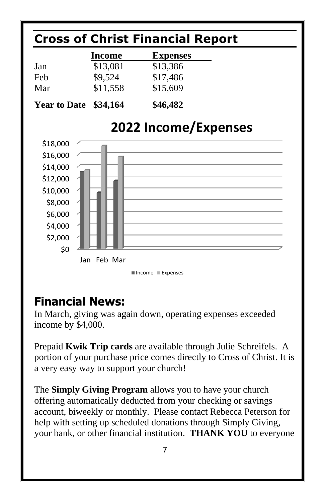

### **Financial News:**

In March, giving was again down, operating expenses exceeded income by \$4,000.

Prepaid **Kwik Trip cards** are available through Julie Schreifels. A portion of your purchase price comes directly to Cross of Christ. It is a very easy way to support your church!

The **Simply Giving Program** allows you to have your church offering automatically deducted from your checking or savings account, biweekly or monthly. Please contact Rebecca Peterson for help with setting up scheduled donations through Simply Giving, your bank, or other financial institution. **THANK YOU** to everyone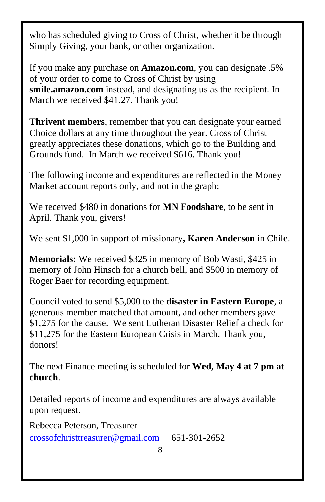who has scheduled giving to Cross of Christ, whether it be through Simply Giving, your bank, or other organization.

If you make any purchase on **Amazon.com**, you can designate .5% of your order to come to Cross of Christ by using **smile.amazon.com** instead, and designating us as the recipient. In March we received \$41.27. Thank you!

**Thrivent members**, remember that you can designate your earned Choice dollars at any time throughout the year. Cross of Christ greatly appreciates these donations, which go to the Building and Grounds fund. In March we received \$616. Thank you!

The following income and expenditures are reflected in the Money Market account reports only, and not in the graph:

We received \$480 in donations for **MN Foodshare**, to be sent in April. Thank you, givers!

We sent \$1,000 in support of missionary**, Karen Anderson** in Chile.

**Memorials:** We received \$325 in memory of Bob Wasti, \$425 in memory of John Hinsch for a church bell, and \$500 in memory of Roger Baer for recording equipment.

Council voted to send \$5,000 to the **disaster in Eastern Europe**, a generous member matched that amount, and other members gave \$1,275 for the cause. We sent Lutheran Disaster Relief a check for \$11,275 for the Eastern European Crisis in March. Thank you, donors!

The next Finance meeting is scheduled for **Wed, May 4 at 7 pm at church**.

Detailed reports of income and expenditures are always available upon request.

Rebecca Peterson, Treasurer [crossofchristtreasurer@gmail.com](mailto:crossofchristtreasurer@gmail.com) 651-301-2652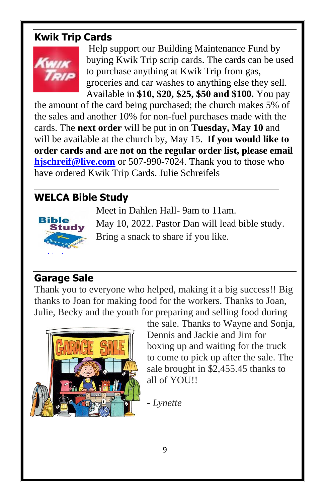### **Kwik Trip Cards**



Help support our Building Maintenance Fund by buying Kwik Trip scrip cards. The cards can be used to purchase anything at Kwik Trip from gas, groceries and car washes to anything else they sell. Available in **\$10, \$20, \$25, \$50 and \$100.** You pay

the amount of the card being purchased; the church makes 5% of the sales and another 10% for non-fuel purchases made with the cards. The **next order** will be put in on **Tuesday, May 10** and will be available at the church by, May 15. **If you would like to order cards and are not on the regular order list, please email [hjschreif@live.com](mailto:hjschreif@live.com)** or 507-990-7024. Thank you to those who have ordered Kwik Trip Cards. Julie Schreifels

### **WELCA Bible Study**



Meet in Dahlen Hall- 9am to 11am.

May 10, 2022. Pastor Dan will lead bible study. Bring a snack to share if you like.

### **Garage Sale**

Thank you to everyone who helped, making it a big success!! Big thanks [to Joa](https://creativecommons.org/licenses/by-sa/3.0/)n for making food for the workers. Thanks to Joan, J[ulie,](https://creativecommons.org/licenses/by-sa/3.0/) Becky and the youth for preparing and selling food during



the sale. Thanks to Wayne and Sonja, Dennis and Jackie and Jim for boxing up and waiting for the truck to come to pick up after the sale. The sale brought in \$2,455.45 thanks to all of YOU!!

- *Lynette*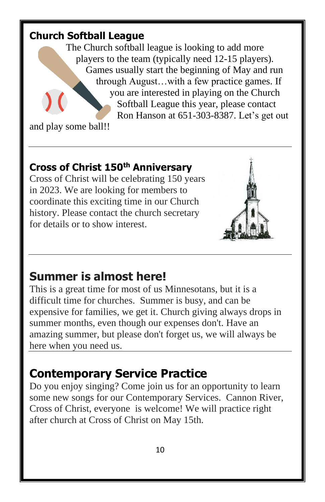### **Church Softball League**

The Church softball league is looking to add more players to the team (typically need 12-15 players). Games usually start the beginning of May and run through August…with a few practice games. If you are interested in playing on the Church Softball League this year, please contact Ron Hanson at 651-303-8387. Let's get out

and play some ball!!

### **Cross of Christ 150th Anniversary**

Cross of Christ will be celebrating 150 years in 2023. We are looking for members to coordinate this exciting time in our Church history. Please contact the church secretary for details or to show interest.



### **Summer is almost here!**

This is a great time for most of us Minnesotans, but it is a difficult time for churches. Summer is busy, and can be expensive for families, we get it. Church giving always drops in summer months, even though our expenses don't. Have an amazing summer, but please don't forget us, we will always be here when you need us.

# **Contemporary Service Practice**

Do you enjoy singing? Come join us for an opportunity to learn some new songs for our Contemporary Services. Cannon River, Cross of Christ, everyone is welcome! We will practice right after church at Cross of Christ on May 15th.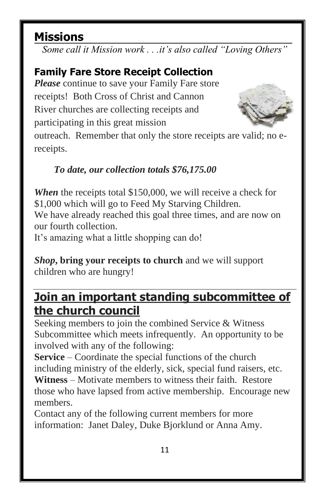# **Missions**

*Some call it Mission work . . .it's also called "Loving Others"*

### **Family Fare Store Receipt Collection**

*Please* continue to save your Family Fare store receipts! Both Cross of Christ and Cannon River churches are collecting receipts and participating in this great mission



outreach. Remember that only the store receipts are valid; no ereceipts.

### *To date, our collection totals \$76,175.00*

*When* the receipts total \$150,000, we will receive a check for \$1,000 which will go to Feed My Starving Children. We have already reached this goal three times, and are now on our fourth collection. It's amazing what a little shopping can do!

*Shop***, bring your receipts to church** and we will support children who are hungry!

## **Join an important standing subcommittee of the church council**

Seeking members to join the combined Service & Witness Subcommittee which meets infrequently. An opportunity to be involved with any of the following:

**Service** – Coordinate the special functions of the church including ministry of the elderly, sick, special fund raisers, etc.

**Witness** – Motivate members to witness their faith. Restore those who have lapsed from active membership. Encourage new members.

Contact any of the following current members for more information: Janet Daley, Duke Bjorklund or Anna Amy.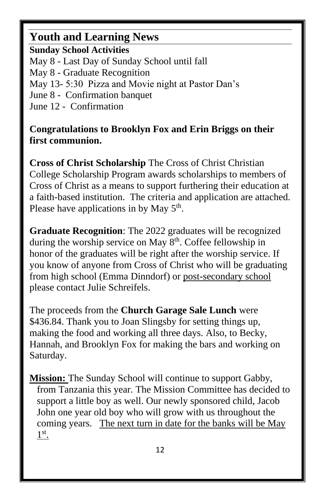### **Youth and Learning News**

**Sunday School Activities** May 8 - Last Day of Sunday School until fall May 8 - Graduate Recognition May 13- 5:30 Pizza and Movie night at Pastor Dan's June 8 - Confirmation banquet June 12 - Confirmation

### **Congratulations to Brooklyn Fox and Erin Briggs on their first communion.**

**Cross of Christ Scholarship** The Cross of Christ Christian College Scholarship Program awards scholarships to members of Cross of Christ as a means to support furthering their education at a faith-based institution. The criteria and application are attached. Please have applications in by May  $5<sup>th</sup>$ .

**Graduate Recognition**: The 2022 graduates will be recognized during the worship service on May 8<sup>th</sup>. Coffee fellowship in honor of the graduates will be right after the worship service. If you know of anyone from Cross of Christ who will be graduating from high school (Emma Dinndorf) or post-secondary school please contact Julie Schreifels.

The proceeds from the **Church Garage Sale Lunch** were \$436.84. Thank you to Joan Slingsby for setting things up, making the food and working all three days. Also, to Becky, Hannah, and Brooklyn Fox for making the bars and working on Saturday.

**Mission:** The Sunday School will continue to support Gabby, from Tanzania this year. The Mission Committee has decided to support a little boy as well. Our newly sponsored child, Jacob John one year old boy who will grow with us throughout the coming years. The next turn in date for the banks will be May 1<sup>st</sup>.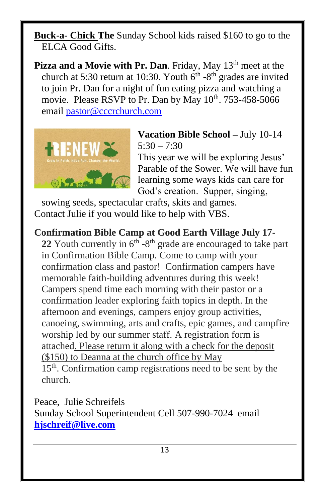**Buck-a- Chick The** Sunday School kids raised \$160 to go to the ELCA Good Gifts.

**Pizza and a Movie with Pr. Dan.** Friday, May 13<sup>th</sup> meet at the church at 5:30 return at 10:30. Youth  $6<sup>th</sup>$  -8<sup>th</sup> grades are invited to join Pr. Dan for a night of fun eating pizza and watching a movie. Please RSVP to Pr. Dan by May 10<sup>th</sup>. 753-458-5066 email [pastor@cccrchurch.com](mailto:pastor@cccrchurch.com)



**Vacation Bible School –** July 10-14  $5:30 - 7:30$ 

This year we will be exploring Jesus' Parable of the Sower. We will have fun learning some ways kids can care for God's creation. Supper, singing,

sowing seeds, spectacular crafts, skits and games. Contact Julie if you would like to help with VBS.

**Confirmation Bible Camp at Good Earth Village July 17-** 22 Youth currently in  $6<sup>th</sup> - 8<sup>th</sup>$  grade are encouraged to take part in Confirmation Bible Camp. Come to camp with your confirmation class and pastor! Confirmation campers have memorable faith-building adventures during this week! Campers spend time each morning with their pastor or a confirmation leader exploring faith topics in depth. In the afternoon and evenings, campers enjoy group activities, canoeing, swimming, arts and crafts, epic games, and campfire worship led by our summer staff. A registration form is attached. Please return it along with a check for the deposit (\$150) to Deanna at the church office by May 15<sup>th</sup>. Confirmation camp registrations need to be sent by the church.

Peace, Julie Schreifels Sunday School Superintendent Cell 507-990-7024 email **[hjschreif@live.com](mailto:hjschreif@live.com)**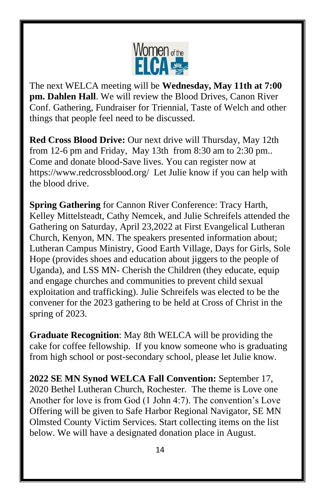

The next WELCA meeting will be **Wednesday, May 11th at 7:00 pm. Dahlen Hall**. We will review the Blood Drives, Canon River Conf. Gathering, Fundraiser for Triennial, Taste of Welch and other things that people feel need to be discussed.

**Red Cross Blood Drive:** Our next drive will Thursday, May 12th from 12-6 pm and Friday, May 13th from 8:30 am to 2:30 pm.. Come and donate blood-Save lives. You can register now at https://www.redcrossblood.org/ Let Julie know if you can help with the blood drive.

**Spring Gathering** for Cannon River Conference: Tracy Harth, Kelley Mittelsteadt, Cathy Nemcek, and Julie Schreifels attended the Gathering on Saturday, April 23,2022 at First Evangelical Lutheran Church, Kenyon, MN. The speakers presented information about; Lutheran Campus Ministry, Good Earth Village, Days for Girls, Sole Hope (provides shoes and education about jiggers to the people of Uganda), and LSS MN- Cherish the Children (they educate, equip and engage churches and communities to prevent child sexual exploitation and trafficking). Julie Schreifels was elected to be the convener for the 2023 gathering to be held at Cross of Christ in the spring of 2023.

**Graduate Recognition**: May 8th WELCA will be providing the cake for coffee fellowship. If you know someone who is graduating from high school or post-secondary school, please let Julie know.

**2022 SE MN Synod WELCA Fall Convention:** September 17, 2020 Bethel Lutheran Church, Rochester. The theme is Love one Another for love is from God (1 John 4:7). The convention's Love Offering will be given to Safe Harbor Regional Navigator, SE MN Olmsted County Victim Services. Start collecting items on the list below. We will have a designated donation place in August.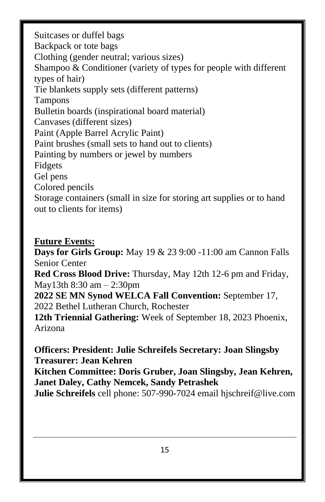Suitcases or duffel bags Backpack or tote bags Clothing (gender neutral; various sizes) Shampoo & Conditioner (variety of types for people with different types of hair) Tie blankets supply sets (different patterns) Tampons Bulletin boards (inspirational board material) Canvases (different sizes) Paint (Apple Barrel Acrylic Paint) Paint brushes (small sets to hand out to clients) Painting by numbers or jewel by numbers Fidgets Gel pens Colored pencils Storage containers (small in size for storing art supplies or to hand out to clients for items)

#### **Future Events:**

**Days for Girls Group:** May 19 & 23 9:00 -11:00 am Cannon Falls Senior Center **Red Cross Blood Drive:** Thursday, May 12th 12-6 pm and Friday, May13th 8:30 am – 2:30pm **2022 SE MN Synod WELCA Fall Convention:** September 17, 2022 Bethel Lutheran Church, Rochester **12th Triennial Gathering:** Week of September 18, 2023 Phoenix, Arizona

**Officers: President: Julie Schreifels Secretary: Joan Slingsby Treasurer: Jean Kehren Kitchen Committee: Doris Gruber, Joan Slingsby, Jean Kehren, Janet Daley, Cathy Nemcek, Sandy Petrashek Julie Schreifels** cell phone: 507-990-7024 email hjschreif@live.com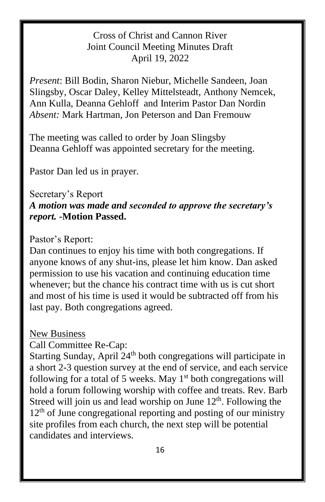### Cross of Christ and Cannon River Joint Council Meeting Minutes Draft April 19, 2022

*Present*: Bill Bodin, Sharon Niebur, Michelle Sandeen, Joan Slingsby, Oscar Daley, Kelley Mittelsteadt, Anthony Nemcek, Ann Kulla, Deanna Gehloff and Interim Pastor Dan Nordin *Absent:* Mark Hartman, Jon Peterson and Dan Fremouw

The meeting was called to order by Joan Slingsby Deanna Gehloff was appointed secretary for the meeting.

Pastor Dan led us in prayer.

# Secretary's Report

#### *A motion was made and seconded to approve the secretary's report.* **-Motion Passed.**

#### Pastor's Report:

Dan continues to enjoy his time with both congregations. If anyone knows of any shut-ins, please let him know. Dan asked permission to use his vacation and continuing education time whenever; but the chance his contract time with us is cut short and most of his time is used it would be subtracted off from his last pay. Both congregations agreed.

### New Business

Call Committee Re-Cap:

Starting Sunday, April  $24<sup>th</sup>$  both congregations will participate in a short 2-3 question survey at the end of service, and each service following for a total of 5 weeks. May  $1<sup>st</sup>$  both congregations will hold a forum following worship with coffee and treats. Rev. Barb Streed will join us and lead worship on June  $12<sup>th</sup>$ . Following the  $12<sup>th</sup>$  of June congregational reporting and posting of our ministry site profiles from each church, the next step will be potential candidates and interviews.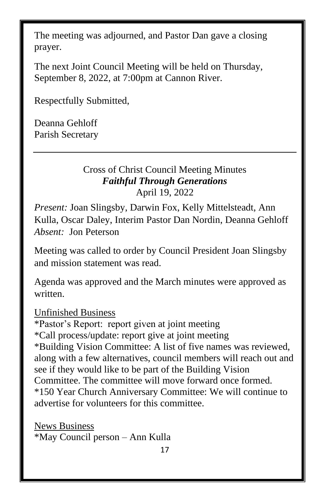The meeting was adjourned, and Pastor Dan gave a closing prayer.

The next Joint Council Meeting will be held on Thursday, September 8, 2022, at 7:00pm at Cannon River.

Respectfully Submitted,

Deanna Gehloff Parish Secretary

### Cross of Christ Council Meeting Minutes *Faithful Through Generations* April 19, 2022

*Present:* Joan Slingsby, Darwin Fox, Kelly Mittelsteadt, Ann Kulla, Oscar Daley, Interim Pastor Dan Nordin, Deanna Gehloff *Absent:* Jon Peterson

Meeting was called to order by Council President Joan Slingsby and mission statement was read.

Agenda was approved and the March minutes were approved as written.

Unfinished Business

\*Pastor's Report: report given at joint meeting \*Call process/update: report give at joint meeting \*Building Vision Committee: A list of five names was reviewed, along with a few alternatives, council members will reach out and see if they would like to be part of the Building Vision Committee. The committee will move forward once formed. \*150 Year Church Anniversary Committee: We will continue to advertise for volunteers for this committee.

News Business \*May Council person – Ann Kulla